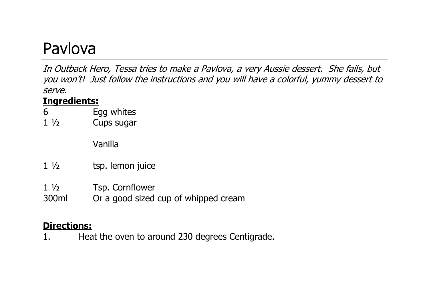## Pavlova

In Outback Hero, Tessa tries to make a Pavlova, a very Aussie dessert. She fails, but you won't! Just follow the instructions and you will have a colorful, yummy dessert to serve.

## **Ingredients:**

- 6 Egg whites
- 1 ½ Cups sugar

Vanilla

- 1 ½ tsp. lemon juice
- 1 ½ Tsp. Cornflower
- 300ml Or a good sized cup of whipped cream

## **Directions:**

1. Heat the oven to around 230 degrees Centigrade.